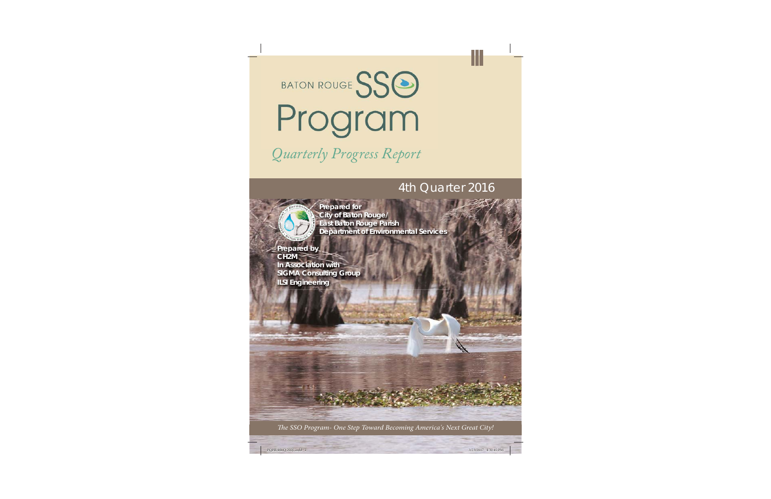

# *Quarterly Progress Report Q l P R*

### 4th Quarter 2016



 **Prepared for City of Baton Rouge/ East Baton Rouge Parish Department of Environmental Services**

**Prepared by CH2M In Association withSIGMA Consulting Group ILSI Engineering**

The SSO Program- One Step Toward Becoming America's Next Great City!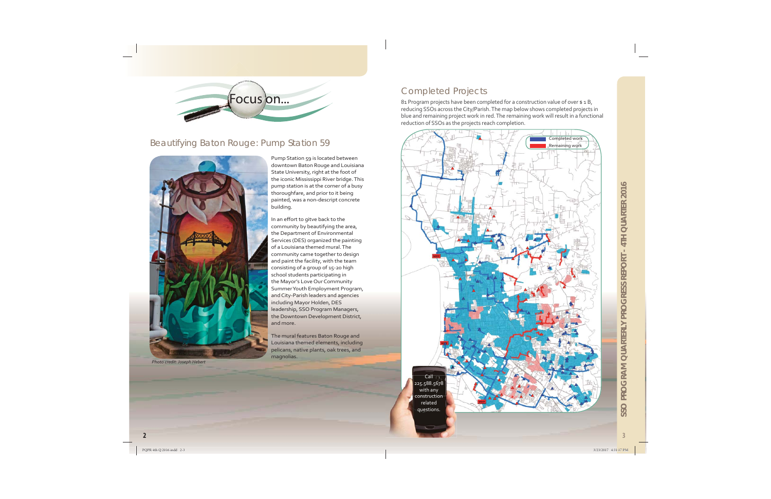

#### Beautifying Baton Rouge: Pump Station 59



Photo credit: Joseph Hebert

Pump Station 59 is located between downtown Baton Rouge and Louisiana State University, right at the foot of the iconic Mississippi River bridge. This pump station is at the corner of a busy thoroughfare, and prior to it being painted, was a non-descript concrete building.

In an effort to gitve back to the community by beautifying the area, the Department of Environmental Services (DES) organized the painting of a Louisiana themed mural. The community came together to design and paint the facility, with the team consisting of a group of 15-20 high school students participating in the Mayor's Love Our Community Summer Youth Employment Program, and City-Parish leaders and agencies including Mayor Holden, DES leadership, SSO Program Managers, the Downtown Development District, and more.

The mural features Baton Rouge and Louisiana themed elements, including pelicans, native plants, oak trees, and magnolias.

#### **Completed Projects**

81 Program projects have been completed for a construction value of over \$1B, reducing SSOs across the City/Parish. The map below shows completed projects in blue and remaining project work in red. The remaining work will result in a functional reduction of SSOs as the projects reach completion.

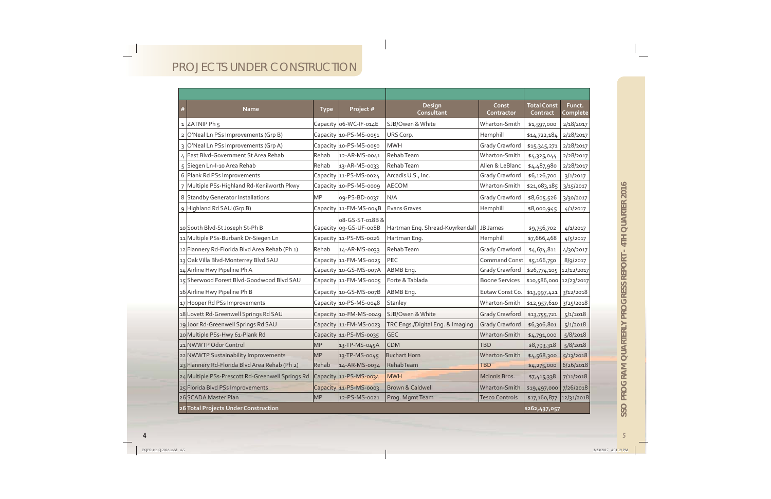## PROJECTS UNDER CONSTRUCTION

| $\frac{4}{3}$  | <b>Name</b>                                      | <b>Type</b>   | Project #                                 | Design<br>Consultant             | Const<br>Contractor   | <b>Total Const</b><br>Contract | Funct.<br>Complete |
|----------------|--------------------------------------------------|---------------|-------------------------------------------|----------------------------------|-----------------------|--------------------------------|--------------------|
|                | 1 ZATNIP Ph 5                                    |               | Capacity 06-WC-IF-014E                    | SJB/Owen & White                 | Wharton-Smith         | \$1,597,000                    | 2/18/2017          |
|                | 2 O'Neal Ln PSs Improvements (Grp B)             |               | Capacity 10-PS-MS-0051                    | URS Corp.                        | Hemphill              | \$14,722,184                   | 2/28/2017          |
|                | 3 O'Neal Ln PSs Improvements (Grp A)             |               | Capacity 10-PS-MS-0050                    | <b>MWH</b>                       | Grady Crawford        | \$15,345,271                   | 2/28/2017          |
|                | 4 East Blvd-Government St Area Rehab             | Rehab         | 12-AR-MS-0041                             | Rehab Team                       | Wharton-Smith         | \$4,325,044                    | 2/28/2017          |
|                | 5 Siegen Ln-I-10 Area Rehab                      | Rehab         | 13-AR-MS-0033                             | Rehab Team                       | Allen & LeBlanc       | \$4,487,980                    | 2/28/2017          |
|                | 6 Plank Rd PSs Improvements                      |               | Capacity 11-PS-MS-0024                    | Arcadis U.S., Inc.               | Grady Crawford        | \$6,126,700                    | 3/1/2017           |
| $\overline{7}$ | Multiple PSs-Highland Rd-Kenilworth Pkwy         |               | Capacity 10-PS-MS-0009                    | AECOM                            | Wharton-Smith         | \$21,083,185                   | 3/15/2017          |
|                | 8 Standby Generator Installations                | MР            | 09-PS-BD-0037                             | N/A                              | Grady Crawford        | \$8,605,526                    | 3/30/2017          |
|                | 9 Highland Rd SAU (Grp B)                        |               | Capacity 11-FM-MS-004B                    | <b>Evans Graves</b>              | Hemphill              | \$8,000,945                    | 4/1/2017           |
|                | 10 South Blvd-St Joseph St-Ph B                  |               | 08-GS-ST-018B &<br>Capacity 09-GS-UF-008B | Hartman Eng. Shread-Kuyrkendall  | JB James              | \$9,756,702                    | 4/1/2017           |
|                | 11 Multiple PSs-Burbank Dr-Siegen Ln             |               | Capacity 11-PS-MS-0026                    | Hartman Eng.                     | Hemphill              | \$7,666,468                    | 4/5/2017           |
|                | 12 Flannery Rd-Florida Blvd Area Rehab (Ph 1)    | Rehab         | 14-AR-MS-0033                             | Rehab Team                       | Grady Crawford        | \$4,674,811                    | 4/30/2017          |
|                | 13 Oak Villa Blvd-Monterrey Blvd SAU             |               | Capacity 11-FM-MS-0025                    | PEC                              | Command Const         | \$5,166,750                    | 8/9/2017           |
|                | 14 Airline Hwy Pipeline Ph A                     |               | Capacity 10-GS-MS-007A                    | ABMB Eng.                        | Grady Crawford        | \$26,774,105 12/12/2017        |                    |
|                | 15 Sherwood Forest Blvd-Goodwood Blvd SAU        |               | Capacity 11-FM-MS-0005                    | Forte & Tablada                  | <b>Boone Services</b> | \$10,586,000 12/23/2017        |                    |
|                | 16 Airline Hwy Pipeline Ph B                     |               | Capacity 10-GS-MS-007B                    | ABMB Eng.                        | Eutaw Const Co.       | \$13,997,421                   | 3/12/2018          |
|                | 17 Hooper Rd PSs Improvements                    |               | Capacity 10-PS-MS-0048                    | Stanley                          | Wharton-Smith         | \$12,957,610                   | 3/25/2018          |
|                | 18 Lovett Rd-Greenwell Springs Rd SAU            |               | Capacity 10-FM-MS-0049                    | SJB/Owen & White                 | <b>Grady Crawford</b> | \$13,755,721                   | 5/1/2018           |
|                | Joor Rd-Greenwell Springs Rd SAU                 |               | Capacity 11-FM-MS-0023                    | TRC Engs./Digital Eng. & Imaging | <b>Grady Crawford</b> | \$6,306,801                    | 5/1/2018           |
|                | 20 Multiple PSs-Hwy 61-Plank Rd                  |               | Capacity 11-PS-MS-0035                    | <b>GEC</b>                       | Wharton-Smith         | \$4,791,000                    | 5/8/2018           |
|                | 21 NWWTP Odor Control                            | MP            | 13-TP-MS-045A                             | <b>CDM</b>                       | <b>TBD</b>            | \$8,793,318                    | 5/8/2018           |
|                | 22 NWWTP Sustainability Improvements             | MP            | 13-TP-MS-0045                             | <b>Buchart Horn</b>              | Wharton-Smith         | \$4,568,300                    | 5/13/2018          |
|                | 23 Flannery Rd-Florida Blvd Area Rehab (Ph 2)    | Rehab         | 14-AR-MS-0034                             | RehabTeam                        | <b>TBD</b>            | \$4,275,000                    | 6/26/2018          |
|                | 24 Multiple PSs-Prescott Rd-Greenwell Springs Rd |               | Capacity 11-PS-MS-0034                    | <b>MWH</b>                       | McInnis Bros.         | \$7,415,338                    | 7/11/2018          |
|                | 25 Florida Blvd PSs Improvements                 |               | Capacity 11-PS-MS-0003                    | <b>Brown &amp; Caldwell</b>      | Wharton-Smith         | \$19,497,000                   | 7/26/2018          |
|                | 26 SCADA Master Plan                             | <b>MP</b>     | 12-PS-MS-0021                             | Prog. Mgmt Team                  | <b>Tesco Controls</b> | \$17,160,877                   | 12/31/2018         |
|                | 26 Total Projects Under Construction             | \$262,437,057 |                                           |                                  |                       |                                |                    |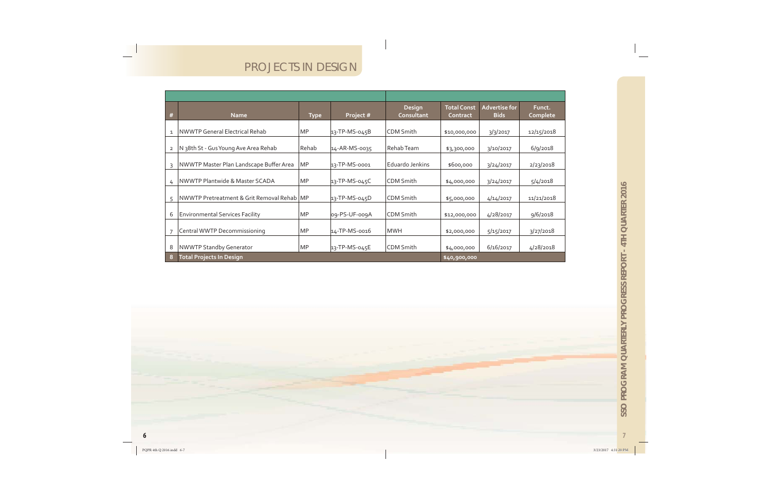### PROJECTS IN DESIGN

| #              | <b>Name</b>                                  | <b>Type</b> | Project #      | <b>Design</b><br>Consultant | <b>Total Const</b><br><b>Contract</b> | <b>Advertise for</b><br><b>Bids</b> | Funct.<br>Complete |
|----------------|----------------------------------------------|-------------|----------------|-----------------------------|---------------------------------------|-------------------------------------|--------------------|
| $\mathbf{1}$   | NWWTP General Electrical Rehab               | <b>MP</b>   | 13-TP-MS-045B  | <b>CDM Smith</b>            | \$10,000,000                          | 3/3/2017                            | 12/15/2018         |
| $\overline{2}$ | N 38th St - Gus Young Ave Area Rehab         | Rehab       | 14-AR-MS-0035  | Rehab Team                  | \$3,300,000                           | 3/10/2017                           | $6$ /9/2018        |
| $\overline{3}$ | NWWTP Master Plan Landscape Buffer Area      | <b>MP</b>   | 13-TP-MS-0001  | Eduardo Jenkins             | \$600,000                             | 3/24/2017                           | 2/23/2018          |
| 4              | NWWTP Plantwide & Master SCADA               | <b>MP</b>   | 13-TP-MS-045C  | <b>CDM Smith</b>            | \$4,000,000                           | 3/24/2017                           | 5/4/2018           |
| 5              | NWWTP Pretreatment & Grit Removal Rehab   MP |             | 13-TP-MS-045D  | <b>CDM Smith</b>            | \$5,000,000                           | 4/14/2017                           | 11/21/2018         |
| 6              | <b>Environmental Services Facility</b>       | <b>MP</b>   | log-PS-UF-009A | CDM Smith                   | \$12,000,000                          | 4/28/2017                           | 9/6/2018           |
| $\overline{7}$ | Central WWTP Decommissioning                 | <b>MP</b>   | 14-TP-MS-0016  | <b>MWH</b>                  | \$2,000,000                           | 5/15/2017                           | 3/27/2018          |
| 8              | <b>NWWTP Standby Generator</b>               | <b>MP</b>   | 13-TP-MS-045E  | CDM Smith                   | \$4,000,000                           | 6/16/2017                           | 4/28/2018          |
| 8              | <b>Total Projects In Design</b>              |             | \$40,900,000   |                             |                                       |                                     |                    |

 $\overline{7}$